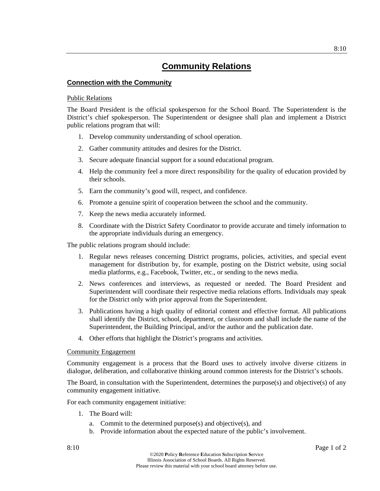### **Connection with the Community**

#### Public Relations

The Board President is the official spokesperson for the School Board. The Superintendent is the District's chief spokesperson. The Superintendent or designee shall plan and implement a District public relations program that will:

- 1. Develop community understanding of school operation.
- 2. Gather community attitudes and desires for the District.
- 3. Secure adequate financial support for a sound educational program.
- 4. Help the community feel a more direct responsibility for the quality of education provided by their schools.
- 5. Earn the community's good will, respect, and confidence.
- 6. Promote a genuine spirit of cooperation between the school and the community.
- 7. Keep the news media accurately informed.
- 8. Coordinate with the District Safety Coordinator to provide accurate and timely information to the appropriate individuals during an emergency.

The public relations program should include:

- 1. Regular news releases concerning District programs, policies, activities, and special event management for distribution by, for example, posting on the District website, using social media platforms, e.g., Facebook, Twitter, etc., or sending to the news media.
- 2. News conferences and interviews, as requested or needed. The Board President and Superintendent will coordinate their respective media relations efforts. Individuals may speak for the District only with prior approval from the Superintendent.
- 3. Publications having a high quality of editorial content and effective format. All publications shall identify the District, school, department, or classroom and shall include the name of the Superintendent, the Building Principal, and/or the author and the publication date.
- 4. Other efforts that highlight the District's programs and activities.

### Community Engagement

Community engagement is a process that the Board uses to actively involve diverse citizens in dialogue, deliberation, and collaborative thinking around common interests for the District's schools.

The Board, in consultation with the Superintendent, determines the purpose(s) and objective(s) of any community engagement initiative.

For each community engagement initiative:

- 1. The Board will:
	- a. Commit to the determined purpose(s) and objective(s), and
	- b. Provide information about the expected nature of the public's involvement.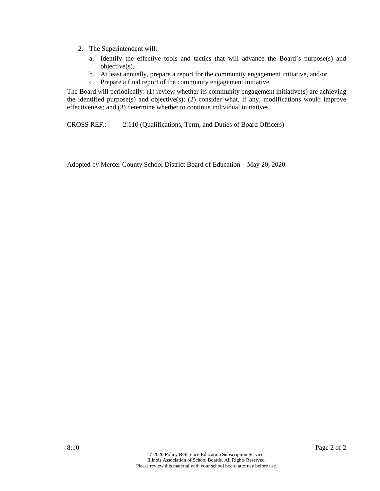- 2. The Superintendent will:
	- a. Identify the effective tools and tactics that will advance the Board's purpose(s) and objective(s),
	- b. At least annually, prepare a report for the community engagement initiative, and/or
	- c. Prepare a final report of the community engagement initiative.

The Board will periodically: (1) review whether its community engagement initiative(s) are achieving the identified purpose(s) and objective(s); (2) consider what, if any, modifications would improve effectiveness; and (3) determine whether to continue individual initiatives.

CROSS REF.: 2:110 (Qualifications, Term, and Duties of Board Officers)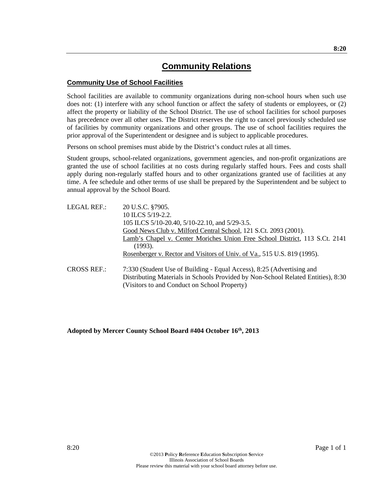### **Community Use of School Facilities**

School facilities are available to community organizations during non-school hours when such use does not: (1) interfere with any school function or affect the safety of students or employees, or (2) affect the property or liability of the School District. The use of school facilities for school purposes has precedence over all other uses. The District reserves the right to cancel previously scheduled use of facilities by community organizations and other groups. The use of school facilities requires the prior approval of the Superintendent or designee and is subject to applicable procedures.

Persons on school premises must abide by the District's conduct rules at all times.

Student groups, school-related organizations, government agencies, and non-profit organizations are granted the use of school facilities at no costs during regularly staffed hours. Fees and costs shall apply during non-regularly staffed hours and to other organizations granted use of facilities at any time. A fee schedule and other terms of use shall be prepared by the Superintendent and be subject to annual approval by the School Board.

| LEGAL REF.:        | 20 U.S.C. §7905.                                                                                                                                                                                          |
|--------------------|-----------------------------------------------------------------------------------------------------------------------------------------------------------------------------------------------------------|
|                    | 10 ILCS 5/19-2.2.                                                                                                                                                                                         |
|                    | 105 ILCS 5/10-20.40, 5/10-22.10, and 5/29-3.5.                                                                                                                                                            |
|                    | Good News Club v. Milford Central School, 121 S.Ct. 2093 (2001).                                                                                                                                          |
|                    | Lamb's Chapel v. Center Moriches Union Free School District, 113 S.Ct. 2141<br>(1993).                                                                                                                    |
|                    | Rosenberger v. Rector and Visitors of Univ. of Va., 515 U.S. 819 (1995).                                                                                                                                  |
| <b>CROSS REF.:</b> | 7:330 (Student Use of Building - Equal Access), 8:25 (Advertising and<br>Distributing Materials in Schools Provided by Non-School Related Entities), 8:30<br>(Visitors to and Conduct on School Property) |

## **Adopted by Mercer County School Board #404 October 16th, 2013**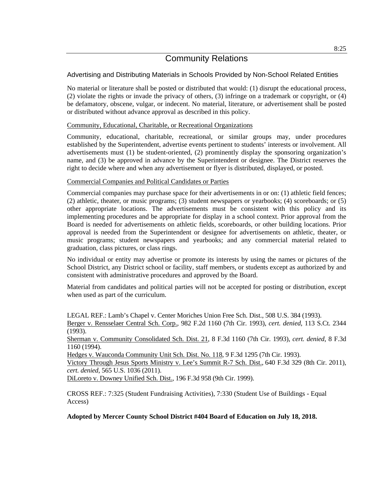## Advertising and Distributing Materials in Schools Provided by Non-School Related Entities

No material or literature shall be posted or distributed that would: (1) disrupt the educational process, (2) violate the rights or invade the privacy of others, (3) infringe on a trademark or copyright, or (4) be defamatory, obscene, vulgar, or indecent. No material, literature, or advertisement shall be posted or distributed without advance approval as described in this policy.

### Community, Educational, Charitable, or Recreational Organizations

Community, educational, charitable, recreational, or similar groups may, under procedures established by the Superintendent, advertise events pertinent to students' interests or involvement. All advertisements must (1) be student-oriented, (2) prominently display the sponsoring organization's name, and (3) be approved in advance by the Superintendent or designee. The District reserves the right to decide where and when any advertisement or flyer is distributed, displayed, or posted.

### Commercial Companies and Political Candidates or Parties

Commercial companies may purchase space for their advertisements in or on: (1) athletic field fences; (2) athletic, theater, or music programs; (3) student newspapers or yearbooks; (4) scoreboards; or (5) other appropriate locations. The advertisements must be consistent with this policy and its implementing procedures and be appropriate for display in a school context. Prior approval from the Board is needed for advertisements on athletic fields, scoreboards, or other building locations. Prior approval is needed from the Superintendent or designee for advertisements on athletic, theater, or music programs; student newspapers and yearbooks; and any commercial material related to graduation, class pictures, or class rings.

No individual or entity may advertise or promote its interests by using the names or pictures of the School District, any District school or facility, staff members, or students except as authorized by and consistent with administrative procedures and approved by the Board.

Material from candidates and political parties will not be accepted for posting or distribution, except when used as part of the curriculum.

LEGAL REF.: Lamb's Chapel v. Center Moriches Union Free Sch. Dist., 508 U.S. 384 (1993). Berger v. Rensselaer Central Sch. Corp., 982 F.2d 1160 (7th Cir. 1993), *cert. denied*, 113 S.Ct. 2344 (1993).

Sherman v. Community Consolidated Sch. Dist. 21, 8 F.3d 1160 (7th Cir. 1993), *cert. denied*, 8 F.3d 1160 (1994).

Hedges v. Wauconda Community Unit Sch. Dist. No. 118, 9 F.3d 1295 (7th Cir. 1993).

Victory Through Jesus Sports Ministry v. Lee's Summit R-7 Sch. Dist., 640 F.3d 329 (8th Cir. 2011), *cert. denied*, 565 U.S. 1036 (2011).

DiLoreto v. Downey Unified Sch. Dist., 196 F.3d 958 (9th Cir. 1999).

CROSS REF.: 7:325 (Student Fundraising Activities), 7:330 (Student Use of Buildings - Equal Access)

**Adopted by Mercer County School District #404 Board of Education on July 18, 2018.**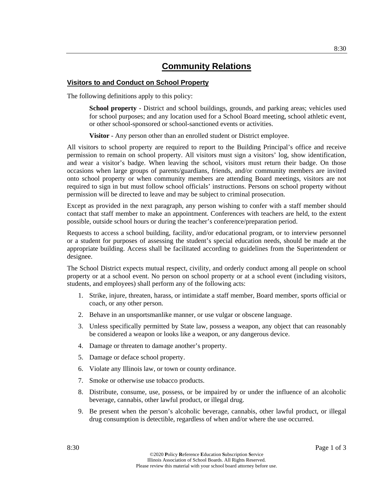### **Visitors to and Conduct on School Property**

The following definitions apply to this policy:

**School property** - District and school buildings, grounds, and parking areas; vehicles used for school purposes; and any location used for a School Board meeting, school athletic event, or other school-sponsored or school-sanctioned events or activities.

**Visitor** - Any person other than an enrolled student or District employee.

All visitors to school property are required to report to the Building Principal's office and receive permission to remain on school property. All visitors must sign a visitors' log, show identification, and wear a visitor's badge. When leaving the school, visitors must return their badge. On those occasions when large groups of parents/guardians, friends, and/or community members are invited onto school property or when community members are attending Board meetings, visitors are not required to sign in but must follow school officials' instructions. Persons on school property without permission will be directed to leave and may be subject to criminal prosecution.

Except as provided in the next paragraph, any person wishing to confer with a staff member should contact that staff member to make an appointment. Conferences with teachers are held, to the extent possible, outside school hours or during the teacher's conference/preparation period.

Requests to access a school building, facility, and/or educational program, or to interview personnel or a student for purposes of assessing the student's special education needs, should be made at the appropriate building. Access shall be facilitated according to guidelines from the Superintendent or designee.

The School District expects mutual respect, civility, and orderly conduct among all people on school property or at a school event. No person on school property or at a school event (including visitors, students, and employees) shall perform any of the following acts:

- 1. Strike, injure, threaten, harass, or intimidate a staff member, Board member, sports official or coach, or any other person.
- 2. Behave in an unsportsmanlike manner, or use vulgar or obscene language.
- 3. Unless specifically permitted by State law, possess a weapon, any object that can reasonably be considered a weapon or looks like a weapon, or any dangerous device.
- 4. Damage or threaten to damage another's property.
- 5. Damage or deface school property.
- 6. Violate any Illinois law, or town or county ordinance.
- 7. Smoke or otherwise use tobacco products.
- 8. Distribute, consume, use, possess, or be impaired by or under the influence of an alcoholic beverage, cannabis, other lawful product, or illegal drug.
- 9. Be present when the person's alcoholic beverage, cannabis, other lawful product, or illegal drug consumption is detectible, regardless of when and/or where the use occurred.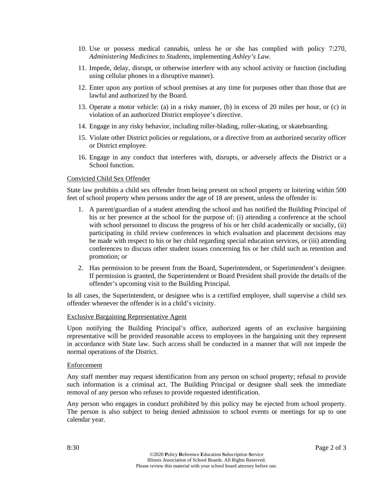- 10. Use or possess medical cannabis, unless he or she has complied with policy 7:270, *Administering Medicines to Students*, implementing *Ashley's Law*.
- 11. Impede, delay, disrupt, or otherwise interfere with any school activity or function (including using cellular phones in a disruptive manner).
- 12. Enter upon any portion of school premises at any time for purposes other than those that are lawful and authorized by the Board.
- 13. Operate a motor vehicle: (a) in a risky manner, (b) in excess of 20 miles per hour, or (c) in violation of an authorized District employee's directive.
- 14. Engage in any risky behavior, including roller-blading, roller-skating, or skateboarding.
- 15. Violate other District policies or regulations, or a directive from an authorized security officer or District employee.
- 16. Engage in any conduct that interferes with, disrupts, or adversely affects the District or a School function.

#### Convicted Child Sex Offender

State law prohibits a child sex offender from being present on school property or loitering within 500 feet of school property when persons under the age of 18 are present, unless the offender is:

- 1. A parent/guardian of a student attending the school and has notified the Building Principal of his or her presence at the school for the purpose of: (i) attending a conference at the school with school personnel to discuss the progress of his or her child academically or socially, (ii) participating in child review conferences in which evaluation and placement decisions may be made with respect to his or her child regarding special education services, or (iii) attending conferences to discuss other student issues concerning his or her child such as retention and promotion; or
- 2. Has permission to be present from the Board, Superintendent, or Superintendent's designee. If permission is granted, the Superintendent or Board President shall provide the details of the offender's upcoming visit to the Building Principal.

In all cases, the Superintendent, or designee who is a certified employee, shall supervise a child sex offender whenever the offender is in a child's vicinity.

#### Exclusive Bargaining Representative Agent

Upon notifying the Building Principal's office, authorized agents of an exclusive bargaining representative will be provided reasonable access to employees in the bargaining unit they represent in accordance with State law. Such access shall be conducted in a manner that will not impede the normal operations of the District.

#### **Enforcement**

Any staff member may request identification from any person on school property; refusal to provide such information is a criminal act. The Building Principal or designee shall seek the immediate removal of any person who refuses to provide requested identification.

Any person who engages in conduct prohibited by this policy may be ejected from school property. The person is also subject to being denied admission to school events or meetings for up to one calendar year.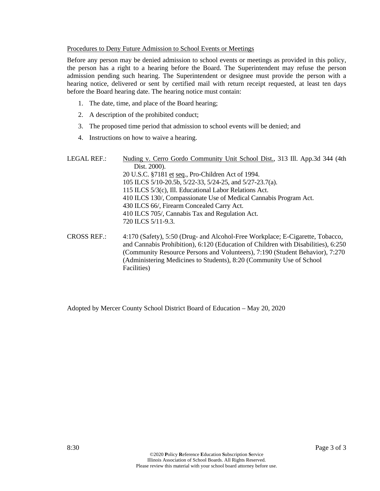#### Procedures to Deny Future Admission to School Events or Meetings

Before any person may be denied admission to school events or meetings as provided in this policy, the person has a right to a hearing before the Board. The Superintendent may refuse the person admission pending such hearing. The Superintendent or designee must provide the person with a hearing notice, delivered or sent by certified mail with return receipt requested, at least ten days before the Board hearing date. The hearing notice must contain:

- 1. The date, time, and place of the Board hearing;
- 2. A description of the prohibited conduct;
- 3. The proposed time period that admission to school events will be denied; and
- 4. Instructions on how to waive a hearing.

| LEGAL REF.: | Nuding v. Cerro Gordo Community Unit School Dist., 313 Ill. App.3d 344 (4th                                                                                                                                                    |
|-------------|--------------------------------------------------------------------------------------------------------------------------------------------------------------------------------------------------------------------------------|
|             | Dist. 2000).                                                                                                                                                                                                                   |
|             | 20 U.S.C. §7181 et seq., Pro-Children Act of 1994.                                                                                                                                                                             |
|             | 105 ILCS 5/10-20.5b, 5/22-33, 5/24-25, and 5/27-23.7(a).                                                                                                                                                                       |
|             | 115 ILCS 5/3(c), Ill. Educational Labor Relations Act.                                                                                                                                                                         |
|             | 410 ILCS 130/, Compassionate Use of Medical Cannabis Program Act.                                                                                                                                                              |
|             | 430 ILCS 66/, Firearm Concealed Carry Act.                                                                                                                                                                                     |
|             | 410 ILCS 705/, Cannabis Tax and Regulation Act.                                                                                                                                                                                |
|             | 720 ILCS 5/11-9.3.                                                                                                                                                                                                             |
| CDOOO DPT   | $1.170(0.01)$ $F(0.001)$ $F(1.11)$ $F(0.01)$ $F(1.11)$ $F(0.01)$ $F(1.11)$ $F(0.01)$ $F(1.11)$ $F(0.01)$ $F(1.11)$ $F(0.01)$ $F(1.11)$ $F(0.01)$ $F(1.11)$ $F(0.01)$ $F(1.11)$ $F(0.01)$ $F(1.11)$ $F(0.01)$ $F(1.11)$ $F(0.0$ |

CROSS REF.: 4:170 (Safety), 5:50 (Drug- and Alcohol-Free Workplace; E-Cigarette, Tobacco, and Cannabis Prohibition), 6:120 (Education of Children with Disabilities), 6:250 (Community Resource Persons and Volunteers), 7:190 (Student Behavior), 7:270 (Administering Medicines to Students), 8:20 (Community Use of School Facilities)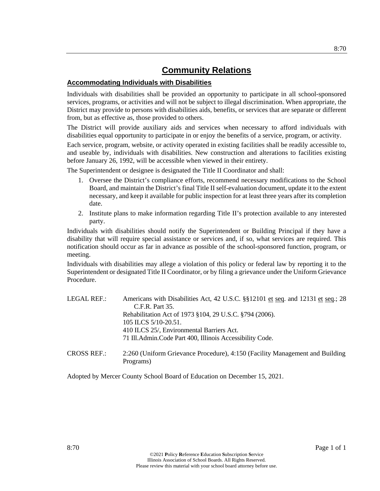## **Accommodating Individuals with Disabilities**

Individuals with disabilities shall be provided an opportunity to participate in all school-sponsored services, programs, or activities and will not be subject to illegal discrimination. When appropriate, the District may provide to persons with disabilities aids, benefits, or services that are separate or different from, but as effective as, those provided to others.

The District will provide auxiliary aids and services when necessary to afford individuals with disabilities equal opportunity to participate in or enjoy the benefits of a service, program, or activity.

Each service, program, website, or activity operated in existing facilities shall be readily accessible to, and useable by, individuals with disabilities. New construction and alterations to facilities existing before January 26, 1992, will be accessible when viewed in their entirety.

The Superintendent or designee is designated the Title II Coordinator and shall:

- 1. Oversee the District's compliance efforts, recommend necessary modifications to the School Board, and maintain the District's final Title II self-evaluation document, update it to the extent necessary, and keep it available for public inspection for at least three years after its completion date.
- 2. Institute plans to make information regarding Title II's protection available to any interested party.

Individuals with disabilities should notify the Superintendent or Building Principal if they have a disability that will require special assistance or services and, if so, what services are required. This notification should occur as far in advance as possible of the school-sponsored function, program, or meeting.

Individuals with disabilities may allege a violation of this policy or federal law by reporting it to the Superintendent or designated Title II Coordinator, or by filing a grievance under the Uniform Grievance Procedure.

| LEGAL REF.: | Americans with Disabilities Act, 42 U.S.C. §§12101 et seq. and 12131 et seq.; 28<br>C.F.R. Part 35. |
|-------------|-----------------------------------------------------------------------------------------------------|
|             | Rehabilitation Act of 1973 §104, 29 U.S.C. §794 (2006).                                             |
|             | 105 ILCS 5/10-20.51.                                                                                |
|             | 410 ILCS 25/, Environmental Barriers Act.                                                           |
|             | 71 Ill. Admin. Code Part 400, Illinois Accessibility Code.                                          |
| CROSS REF.: | 2:260 (Uniform Grievance Procedure), 4:150 (Facility Management and Building<br>Programs)           |

Adopted by Mercer County School Board of Education on December 15, 2021.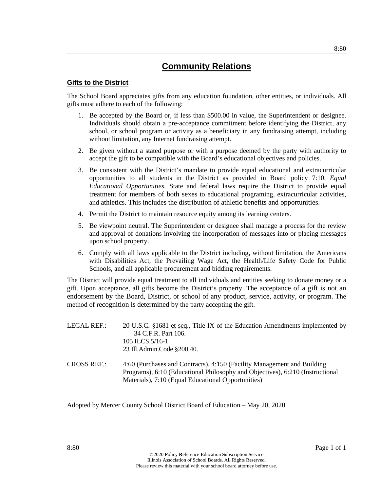#### **Gifts to the District**

The School Board appreciates gifts from any education foundation, other entities, or individuals. All gifts must adhere to each of the following:

- 1. Be accepted by the Board or, if less than \$500.00 in value, the Superintendent or designee. Individuals should obtain a pre-acceptance commitment before identifying the District, any school, or school program or activity as a beneficiary in any fundraising attempt, including without limitation, any Internet fundraising attempt.
- 2. Be given without a stated purpose or with a purpose deemed by the party with authority to accept the gift to be compatible with the Board's educational objectives and policies.
- 3. Be consistent with the District's mandate to provide equal educational and extracurricular opportunities to all students in the District as provided in Board policy 7:10, *Equal Educational Opportunities*. State and federal laws require the District to provide equal treatment for members of both sexes to educational programing, extracurricular activities, and athletics. This includes the distribution of athletic benefits and opportunities.
- 4. Permit the District to maintain resource equity among its learning centers.
- 5. Be viewpoint neutral. The Superintendent or designee shall manage a process for the review and approval of donations involving the incorporation of messages into or placing messages upon school property.
- 6. Comply with all laws applicable to the District including, without limitation, the Americans with Disabilities Act, the Prevailing Wage Act, the Health/Life Safety Code for Public Schools, and all applicable procurement and bidding requirements.

The District will provide equal treatment to all individuals and entities seeking to donate money or a gift. Upon acceptance, all gifts become the District's property. The acceptance of a gift is not an endorsement by the Board, District, or school of any product, service, activity, or program. The method of recognition is determined by the party accepting the gift.

| LEGAL REF.: | 20 U.S.C. §1681 et seq., Title IX of the Education Amendments implemented by |
|-------------|------------------------------------------------------------------------------|
|             | 34 C.F.R. Part 106.                                                          |
|             | 105 ILCS $5/16-1$ .                                                          |
|             | 23 Ill.Admin.Code §200.40.                                                   |
|             |                                                                              |

CROSS REF.: 4:60 (Purchases and Contracts), 4:150 (Facility Management and Building Programs), 6:10 (Educational Philosophy and Objectives), 6:210 (Instructional Materials), 7:10 (Equal Educational Opportunities)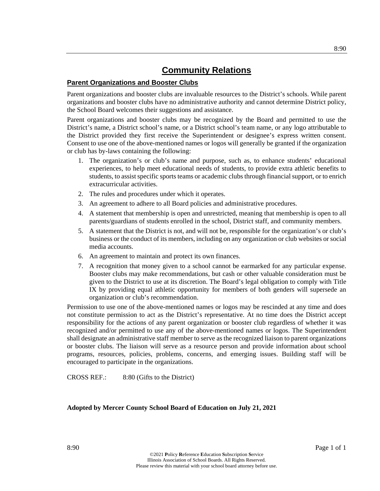### **Parent Organizations and Booster Clubs**

Parent organizations and booster clubs are invaluable resources to the District's schools. While parent organizations and booster clubs have no administrative authority and cannot determine District policy, the School Board welcomes their suggestions and assistance.

Parent organizations and booster clubs may be recognized by the Board and permitted to use the District's name, a District school's name, or a District school's team name, or any logo attributable to the District provided they first receive the Superintendent or designee's express written consent. Consent to use one of the above-mentioned names or logos will generally be granted if the organization or club has by-laws containing the following:

- 1. The organization's or club's name and purpose, such as, to enhance students' educational experiences, to help meet educational needs of students, to provide extra athletic benefits to students, to assist specific sports teams or academic clubs through financial support, or to enrich extracurricular activities.
- 2. The rules and procedures under which it operates.
- 3. An agreement to adhere to all Board policies and administrative procedures.
- 4. A statement that membership is open and unrestricted, meaning that membership is open to all parents/guardians of students enrolled in the school, District staff, and community members.
- 5. A statement that the District is not, and will not be, responsible for the organization's or club's business or the conduct of its members, including on any organization or club websites or social media accounts.
- 6. An agreement to maintain and protect its own finances.
- 7. A recognition that money given to a school cannot be earmarked for any particular expense. Booster clubs may make recommendations, but cash or other valuable consideration must be given to the District to use at its discretion. The Board's legal obligation to comply with Title IX by providing equal athletic opportunity for members of both genders will supersede an organization or club's recommendation.

Permission to use one of the above-mentioned names or logos may be rescinded at any time and does not constitute permission to act as the District's representative. At no time does the District accept responsibility for the actions of any parent organization or booster club regardless of whether it was recognized and/or permitted to use any of the above-mentioned names or logos. The Superintendent shall designate an administrative staff member to serve as the recognized liaison to parent organizations or booster clubs. The liaison will serve as a resource person and provide information about school programs, resources, policies, problems, concerns, and emerging issues. Building staff will be encouraged to participate in the organizations.

CROSS REF.: 8:80 (Gifts to the District)

### **Adopted by Mercer County School Board of Education on July 21, 2021**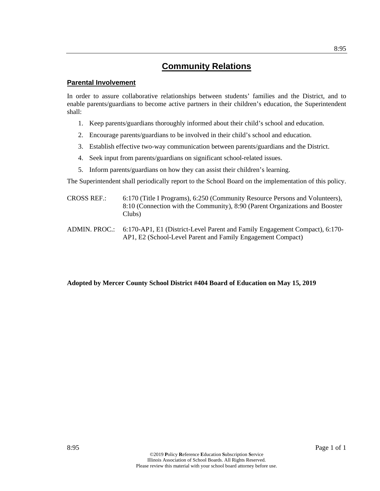#### **Parental Involvement**

In order to assure collaborative relationships between students' families and the District, and to enable parents/guardians to become active partners in their children's education, the Superintendent shall:

- 1. Keep parents/guardians thoroughly informed about their child's school and education.
- 2. Encourage parents/guardians to be involved in their child's school and education.
- 3. Establish effective two-way communication between parents/guardians and the District.
- 4. Seek input from parents/guardians on significant school-related issues.
- 5. Inform parents/guardians on how they can assist their children's learning.

The Superintendent shall periodically report to the School Board on the implementation of this policy.

- CROSS REF.: 6:170 (Title I Programs), 6:250 (Community Resource Persons and Volunteers), 8:10 (Connection with the Community), 8:90 (Parent Organizations and Booster Clubs)
- ADMIN. PROC.: 6:170-AP1, E1 (District-Level Parent and Family Engagement Compact), 6:170- AP1, E2 (School-Level Parent and Family Engagement Compact)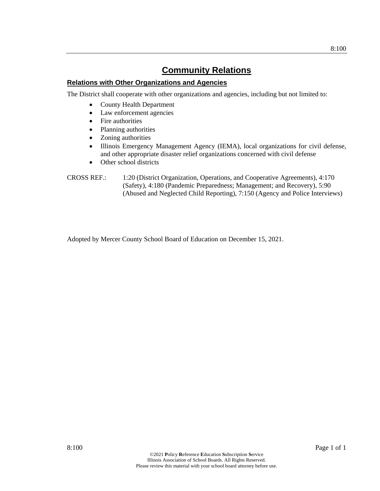### **Relations with Other Organizations and Agencies**

The District shall cooperate with other organizations and agencies, including but not limited to:

- County Health Department
- Law enforcement agencies
- Fire authorities
- Planning authorities
- Zoning authorities
- Illinois Emergency Management Agency (IEMA), local organizations for civil defense, and other appropriate disaster relief organizations concerned with civil defense
- Other school districts
- CROSS REF.: 1:20 (District Organization, Operations, and Cooperative Agreements), 4:170 (Safety), 4:180 (Pandemic Preparedness; Management; and Recovery), 5:90 (Abused and Neglected Child Reporting), 7:150 (Agency and Police Interviews)

Adopted by Mercer County School Board of Education on December 15, 2021.